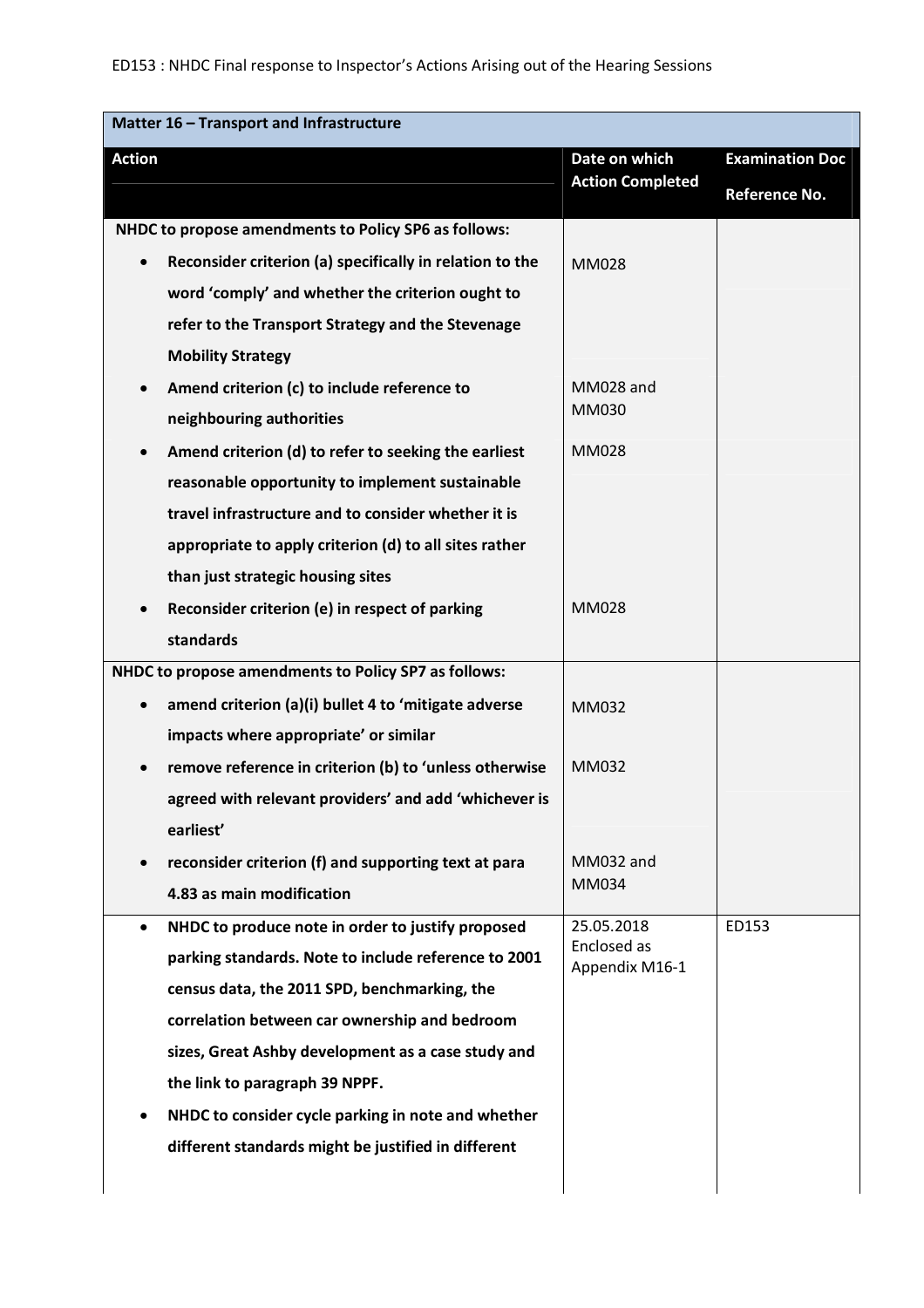| Matter 16 - Transport and Infrastructure |                                                          |                                          |                        |
|------------------------------------------|----------------------------------------------------------|------------------------------------------|------------------------|
| <b>Action</b>                            |                                                          | Date on which<br><b>Action Completed</b> | <b>Examination Doc</b> |
|                                          |                                                          |                                          | Reference No.          |
|                                          | NHDC to propose amendments to Policy SP6 as follows:     |                                          |                        |
| $\bullet$                                | Reconsider criterion (a) specifically in relation to the | <b>MM028</b>                             |                        |
|                                          | word 'comply' and whether the criterion ought to         |                                          |                        |
|                                          | refer to the Transport Strategy and the Stevenage        |                                          |                        |
|                                          | <b>Mobility Strategy</b>                                 |                                          |                        |
|                                          | Amend criterion (c) to include reference to              | MM028 and                                |                        |
|                                          | neighbouring authorities                                 | MM030                                    |                        |
| $\bullet$                                | Amend criterion (d) to refer to seeking the earliest     | <b>MM028</b>                             |                        |
|                                          | reasonable opportunity to implement sustainable          |                                          |                        |
|                                          | travel infrastructure and to consider whether it is      |                                          |                        |
|                                          | appropriate to apply criterion (d) to all sites rather   |                                          |                        |
|                                          | than just strategic housing sites                        |                                          |                        |
| $\bullet$                                | Reconsider criterion (e) in respect of parking           | MM028                                    |                        |
|                                          | standards                                                |                                          |                        |
|                                          | NHDC to propose amendments to Policy SP7 as follows:     |                                          |                        |
| $\bullet$                                | amend criterion (a)(i) bullet 4 to 'mitigate adverse     | MM032                                    |                        |
|                                          | impacts where appropriate' or similar                    |                                          |                        |
| $\bullet$                                | remove reference in criterion (b) to 'unless otherwise   | MM032                                    |                        |
|                                          | agreed with relevant providers' and add 'whichever is    |                                          |                        |
|                                          | earliest'                                                |                                          |                        |
|                                          | reconsider criterion (f) and supporting text at para     | MM032 and                                |                        |
|                                          | 4.83 as main modification                                | MM034                                    |                        |
| $\bullet$                                | NHDC to produce note in order to justify proposed        | 25.05.2018                               | ED153                  |
|                                          | parking standards. Note to include reference to 2001     | Enclosed as<br>Appendix M16-1            |                        |
|                                          | census data, the 2011 SPD, benchmarking, the             |                                          |                        |
|                                          | correlation between car ownership and bedroom            |                                          |                        |
|                                          | sizes, Great Ashby development as a case study and       |                                          |                        |
|                                          | the link to paragraph 39 NPPF.                           |                                          |                        |
|                                          | NHDC to consider cycle parking in note and whether       |                                          |                        |
|                                          | different standards might be justified in different      |                                          |                        |
|                                          |                                                          |                                          |                        |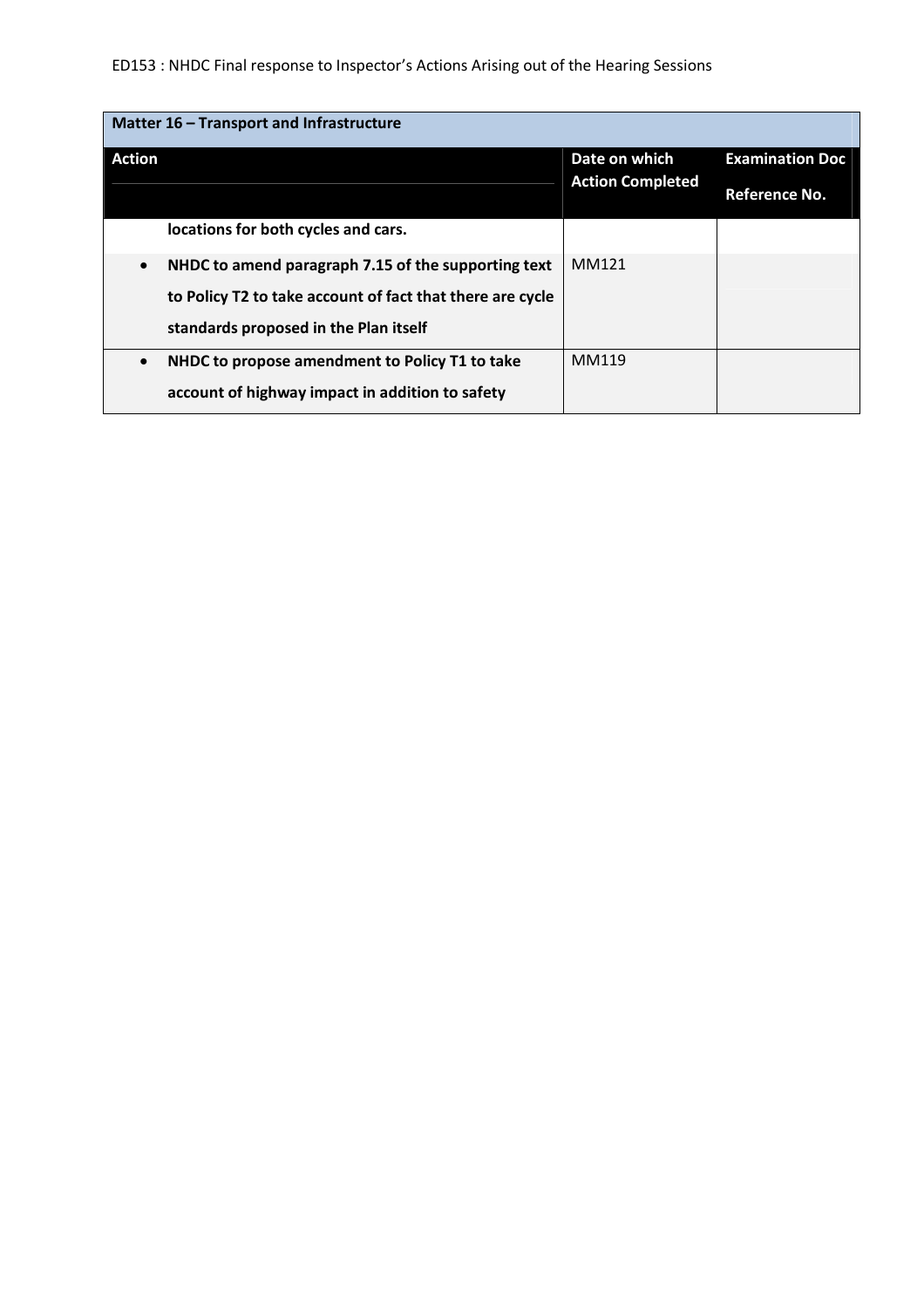# ED153 : NHDC Final response to Inspector's Actions Arising out of the Hearing Sessions

| Matter 16 - Transport and Infrastructure                         |                         |                        |  |
|------------------------------------------------------------------|-------------------------|------------------------|--|
| <b>Action</b>                                                    | Date on which           | <b>Examination Doc</b> |  |
|                                                                  | <b>Action Completed</b> | Reference No.          |  |
| locations for both cycles and cars.                              |                         |                        |  |
| NHDC to amend paragraph 7.15 of the supporting text<br>$\bullet$ | MM121                   |                        |  |
| to Policy T2 to take account of fact that there are cycle        |                         |                        |  |
| standards proposed in the Plan itself                            |                         |                        |  |
| NHDC to propose amendment to Policy T1 to take<br>$\bullet$      | MM119                   |                        |  |
| account of highway impact in addition to safety                  |                         |                        |  |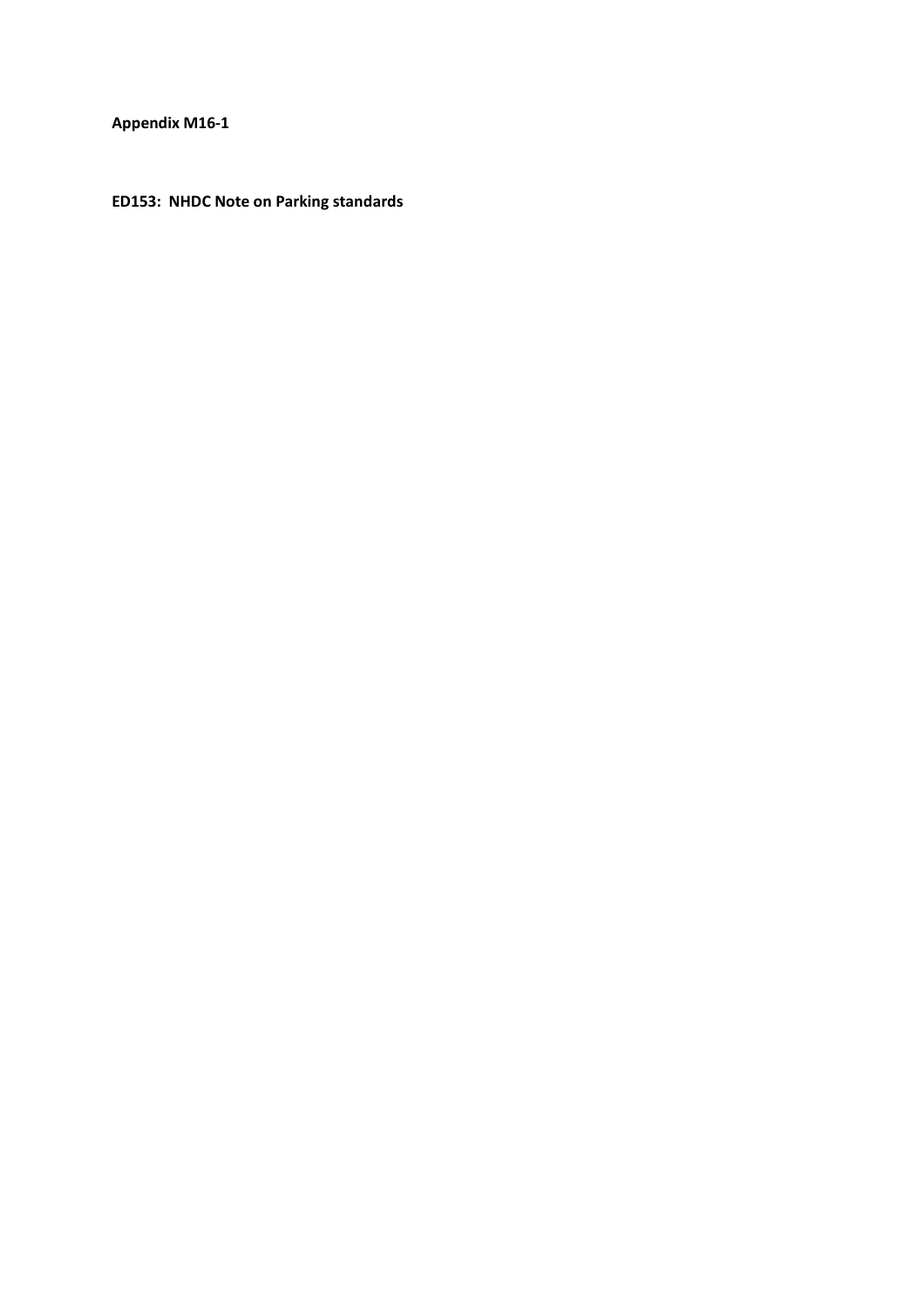**Appendix M16-1** 

**ED153: NHDC Note on Parking standards**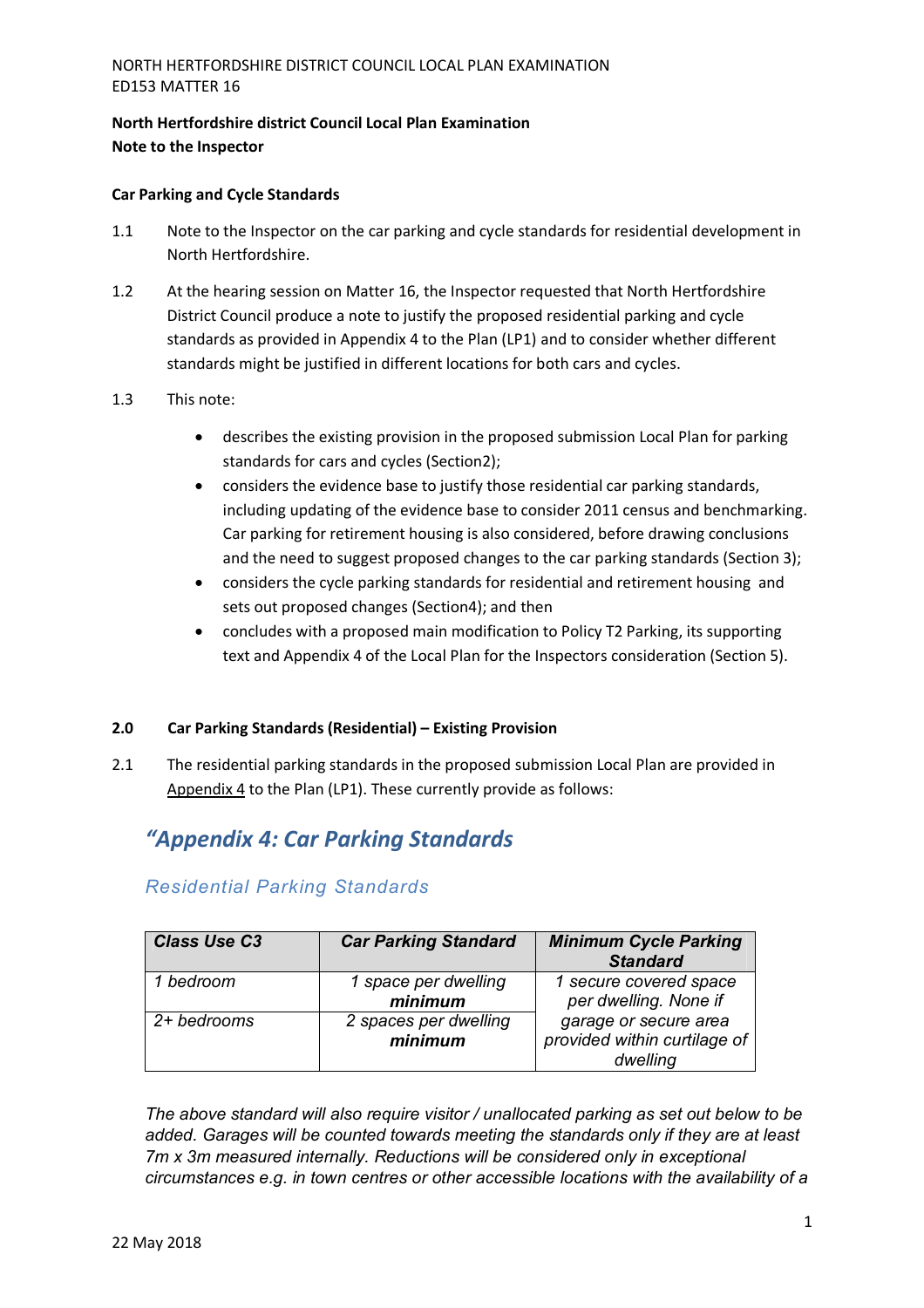### **North Hertfordshire district Council Local Plan Examination Note to the Inspector**

### **Car Parking and Cycle Standards**

- 1.1 Note to the Inspector on the car parking and cycle standards for residential development in North Hertfordshire.
- 1.2 At the hearing session on Matter 16, the Inspector requested that North Hertfordshire District Council produce a note to justify the proposed residential parking and cycle standards as provided in Appendix 4 to the Plan (LP1) and to consider whether different standards might be justified in different locations for both cars and cycles.
- 1.3 This note:
	- describes the existing provision in the proposed submission Local Plan for parking standards for cars and cycles (Section2);
	- considers the evidence base to justify those residential car parking standards, including updating of the evidence base to consider 2011 census and benchmarking. Car parking for retirement housing is also considered, before drawing conclusions and the need to suggest proposed changes to the car parking standards (Section 3);
	- considers the cycle parking standards for residential and retirement housing and sets out proposed changes (Section4); and then
	- concludes with a proposed main modification to Policy T2 Parking, its supporting text and Appendix 4 of the Local Plan for the Inspectors consideration (Section 5).

### **2.0 Car Parking Standards (Residential) – Existing Provision**

2.1 The residential parking standards in the proposed submission Local Plan are provided in Appendix 4 to the Plan (LP1). These currently provide as follows:

# *"Appendix 4: Car Parking Standards*

## *Residential Parking Standards*

| <b>Class Use C3</b> | <b>Car Parking Standard</b>      | <b>Minimum Cycle Parking</b><br><b>Standard</b>                   |
|---------------------|----------------------------------|-------------------------------------------------------------------|
| 1 bedroom           | 1 space per dwelling<br>minimum  | 1 secure covered space<br>per dwelling. None if                   |
| 2+ bedrooms         | 2 spaces per dwelling<br>minimum | garage or secure area<br>provided within curtilage of<br>dwelling |

*The above standard will also require visitor / unallocated parking as set out below to be added. Garages will be counted towards meeting the standards only if they are at least 7m x 3m measured internally. Reductions will be considered only in exceptional circumstances e.g. in town centres or other accessible locations with the availability of a*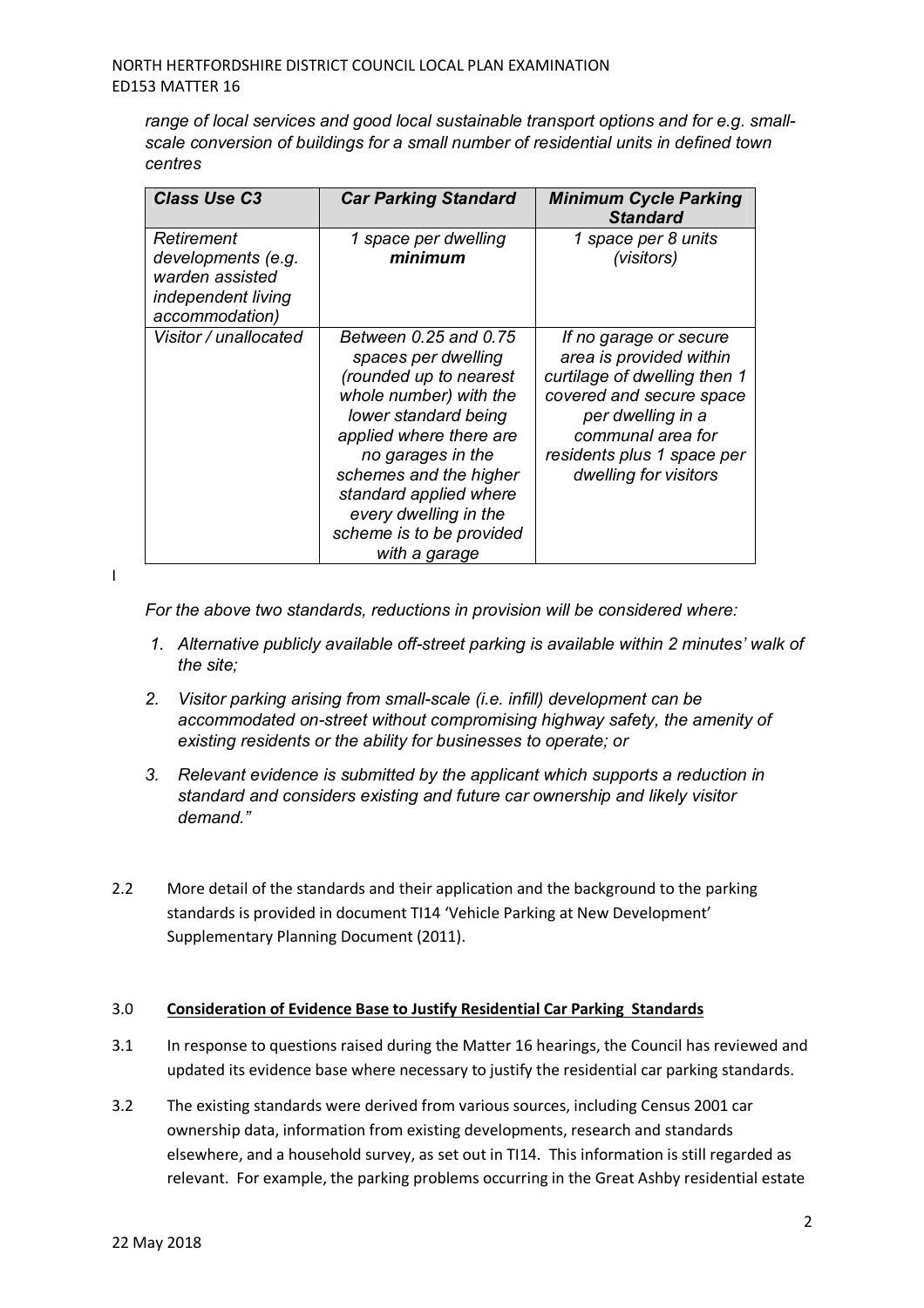*range of local services and good local sustainable transport options and for e.g. smallscale conversion of buildings for a small number of residential units in defined town centres* 

| <b>Class Use C3</b>                                                                         | <b>Car Parking Standard</b>                                                                                                                                                                                                                                                                        | <b>Minimum Cycle Parking</b><br><b>Standard</b>                                                                                                                                                                |
|---------------------------------------------------------------------------------------------|----------------------------------------------------------------------------------------------------------------------------------------------------------------------------------------------------------------------------------------------------------------------------------------------------|----------------------------------------------------------------------------------------------------------------------------------------------------------------------------------------------------------------|
| Retirement<br>developments (e.g.<br>warden assisted<br>independent living<br>accommodation) | 1 space per dwelling<br>minimum                                                                                                                                                                                                                                                                    | 1 space per 8 units<br>(visitors)                                                                                                                                                                              |
| Visitor / unallocated                                                                       | Between 0.25 and 0.75<br>spaces per dwelling<br>(rounded up to nearest<br>whole number) with the<br>lower standard being<br>applied where there are<br>no garages in the<br>schemes and the higher<br>standard applied where<br>every dwelling in the<br>scheme is to be provided<br>with a garage | If no garage or secure<br>area is provided within<br>curtilage of dwelling then 1<br>covered and secure space<br>per dwelling in a<br>communal area for<br>residents plus 1 space per<br>dwelling for visitors |

I

*For the above two standards, reductions in provision will be considered where:* 

- *1. Alternative publicly available off-street parking is available within 2 minutes' walk of the site;*
- *2. Visitor parking arising from small-scale (i.e. infill) development can be accommodated on-street without compromising highway safety, the amenity of existing residents or the ability for businesses to operate; or*
- *3. Relevant evidence is submitted by the applicant which supports a reduction in standard and considers existing and future car ownership and likely visitor demand."*
- 2.2 More detail of the standards and their application and the background to the parking standards is provided in document TI14 'Vehicle Parking at New Development' Supplementary Planning Document (2011).

#### 3.0 **Consideration of Evidence Base to Justify Residential Car Parking Standards**

- 3.1 In response to questions raised during the Matter 16 hearings, the Council has reviewed and updated its evidence base where necessary to justify the residential car parking standards.
- 3.2 The existing standards were derived from various sources, including Census 2001 car ownership data, information from existing developments, research and standards elsewhere, and a household survey, as set out in TI14. This information is still regarded as relevant. For example, the parking problems occurring in the Great Ashby residential estate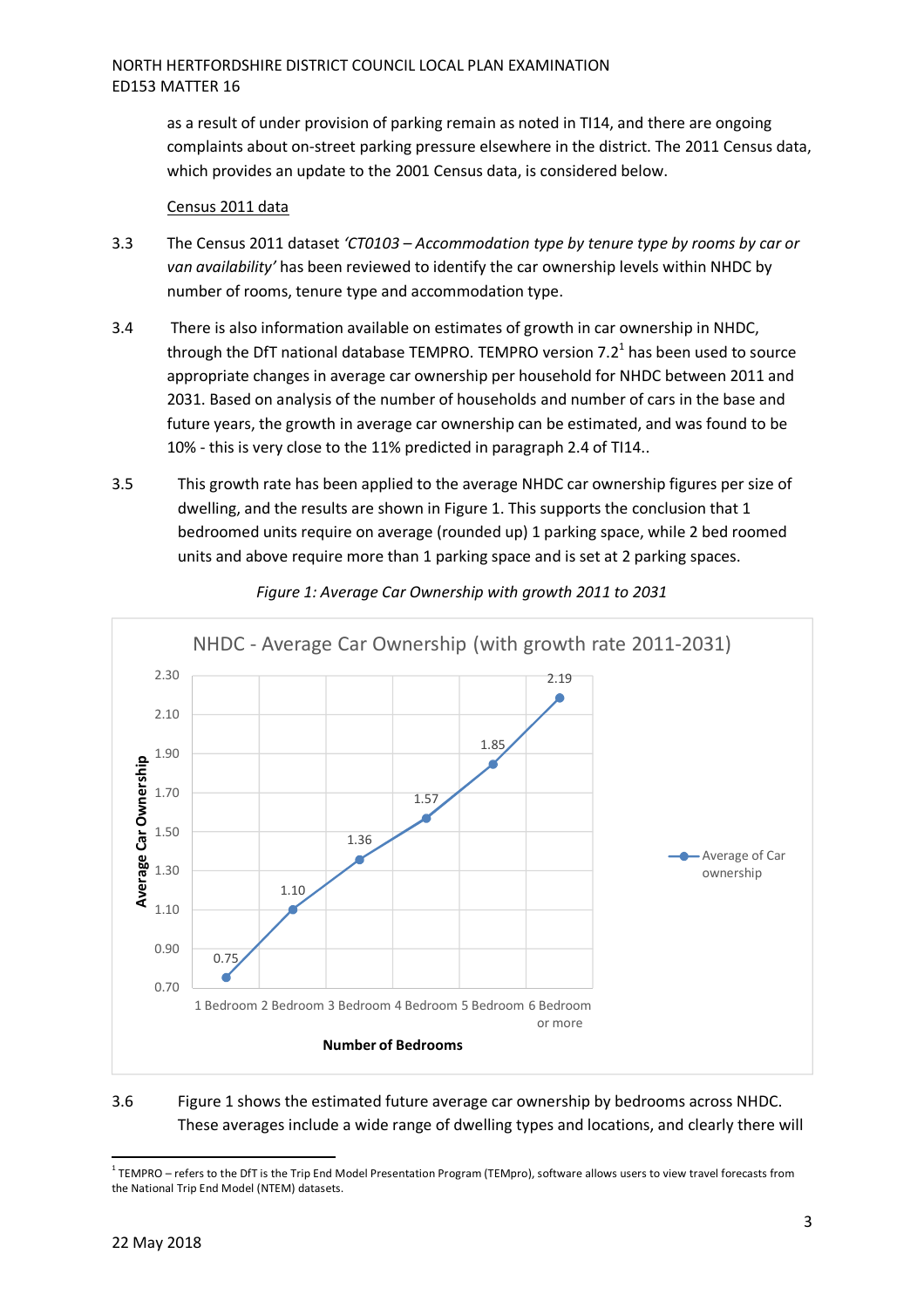as a result of under provision of parking remain as noted in TI14, and there are ongoing complaints about on-street parking pressure elsewhere in the district. The 2011 Census data, which provides an update to the 2001 Census data, is considered below.

#### Census 2011 data

- 3.3 The Census 2011 dataset *'CT0103 Accommodation type by tenure type by rooms by car or van availability'* has been reviewed to identify the car ownership levels within NHDC by number of rooms, tenure type and accommodation type.
- 3.4 There is also information available on estimates of growth in car ownership in NHDC, through the DfT national database TEMPRO. TEMPRO version 7.2<sup>1</sup> has been used to source appropriate changes in average car ownership per household for NHDC between 2011 and 2031. Based on analysis of the number of households and number of cars in the base and future years, the growth in average car ownership can be estimated, and was found to be 10% - this is very close to the 11% predicted in paragraph 2.4 of TI14..
- 3.5 This growth rate has been applied to the average NHDC car ownership figures per size of dwelling, and the results are shown in Figure 1. This supports the conclusion that 1 bedroomed units require on average (rounded up) 1 parking space, while 2 bed roomed units and above require more than 1 parking space and is set at 2 parking spaces.



*Figure 1: Average Car Ownership with growth 2011 to 2031* 

### 3.6 Figure 1 shows the estimated future average car ownership by bedrooms across NHDC. These averages include a wide range of dwelling types and locations, and clearly there will

 1 TEMPRO – refers to the DfT is the Trip End Model Presentation Program (TEMpro), software allows users to view travel forecasts from the National Trip End Model (NTEM) datasets.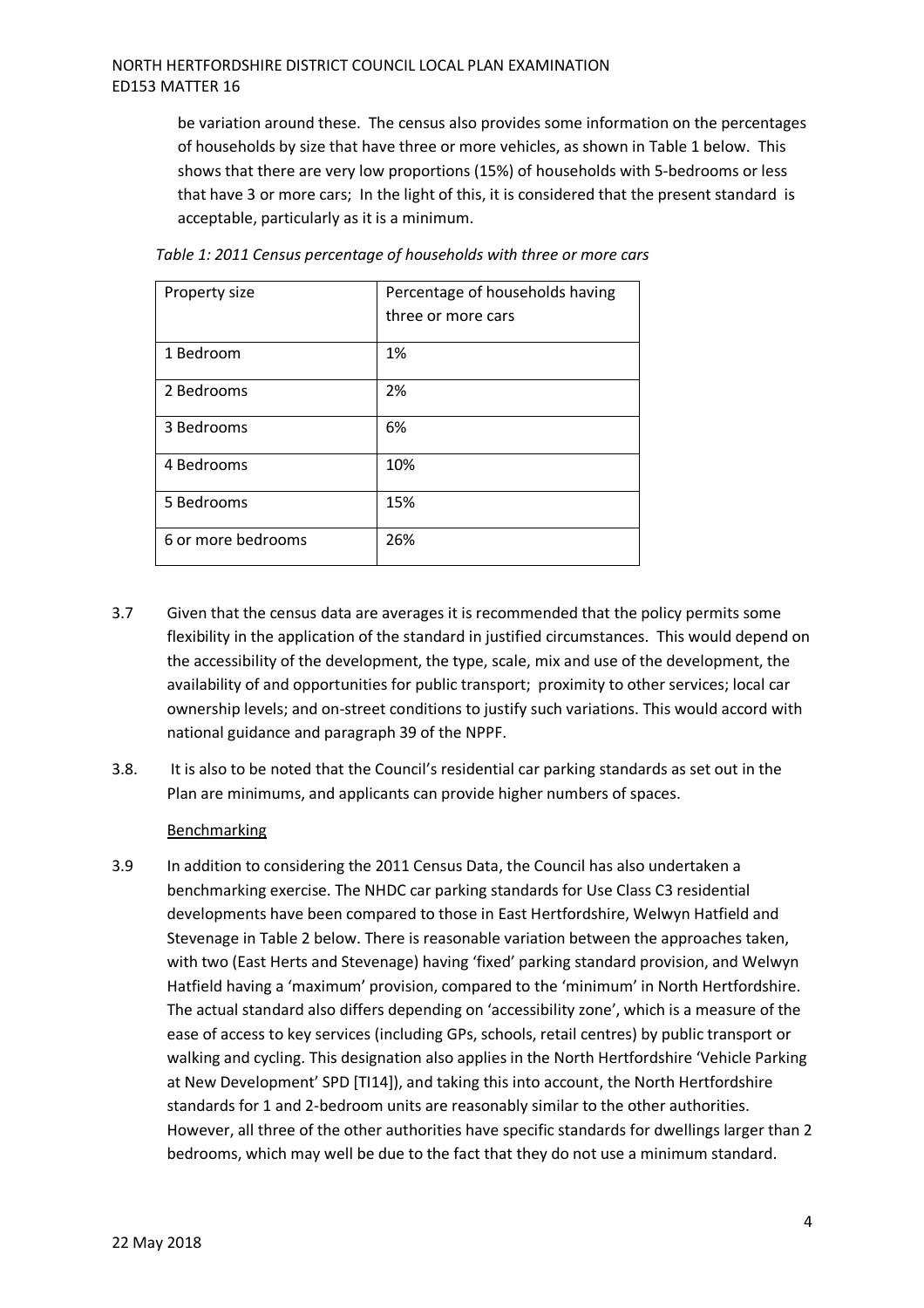### NORTH HERTFORDSHIRE DISTRICT COUNCIL LOCAL PLAN EXAMINATION ED153 MATTER 16

be variation around these. The census also provides some information on the percentages of households by size that have three or more vehicles, as shown in Table 1 below. This shows that there are very low proportions (15%) of households with 5-bedrooms or less that have 3 or more cars; In the light of this, it is considered that the present standard is acceptable, particularly as it is a minimum.

| Property size      | Percentage of households having |
|--------------------|---------------------------------|
|                    | three or more cars              |
| 1 Bedroom          | 1%                              |
| 2 Bedrooms         | 2%                              |
| 3 Bedrooms         | 6%                              |
| 4 Bedrooms         | 10%                             |
| 5 Bedrooms         | 15%                             |
| 6 or more bedrooms | 26%                             |

*Table 1: 2011 Census percentage of households with three or more cars* 

- 3.7 Given that the census data are averages it is recommended that the policy permits some flexibility in the application of the standard in justified circumstances. This would depend on the accessibility of the development, the type, scale, mix and use of the development, the availability of and opportunities for public transport; proximity to other services; local car ownership levels; and on-street conditions to justify such variations. This would accord with national guidance and paragraph 39 of the NPPF.
- 3.8. It is also to be noted that the Council's residential car parking standards as set out in the Plan are minimums, and applicants can provide higher numbers of spaces.

#### Benchmarking

3.9 In addition to considering the 2011 Census Data, the Council has also undertaken a benchmarking exercise. The NHDC car parking standards for Use Class C3 residential developments have been compared to those in East Hertfordshire, Welwyn Hatfield and Stevenage in Table 2 below. There is reasonable variation between the approaches taken, with two (East Herts and Stevenage) having 'fixed' parking standard provision, and Welwyn Hatfield having a 'maximum' provision, compared to the 'minimum' in North Hertfordshire. The actual standard also differs depending on 'accessibility zone', which is a measure of the ease of access to key services (including GPs, schools, retail centres) by public transport or walking and cycling. This designation also applies in the North Hertfordshire 'Vehicle Parking at New Development' SPD [TI14]), and taking this into account, the North Hertfordshire standards for 1 and 2-bedroom units are reasonably similar to the other authorities. However, all three of the other authorities have specific standards for dwellings larger than 2 bedrooms, which may well be due to the fact that they do not use a minimum standard.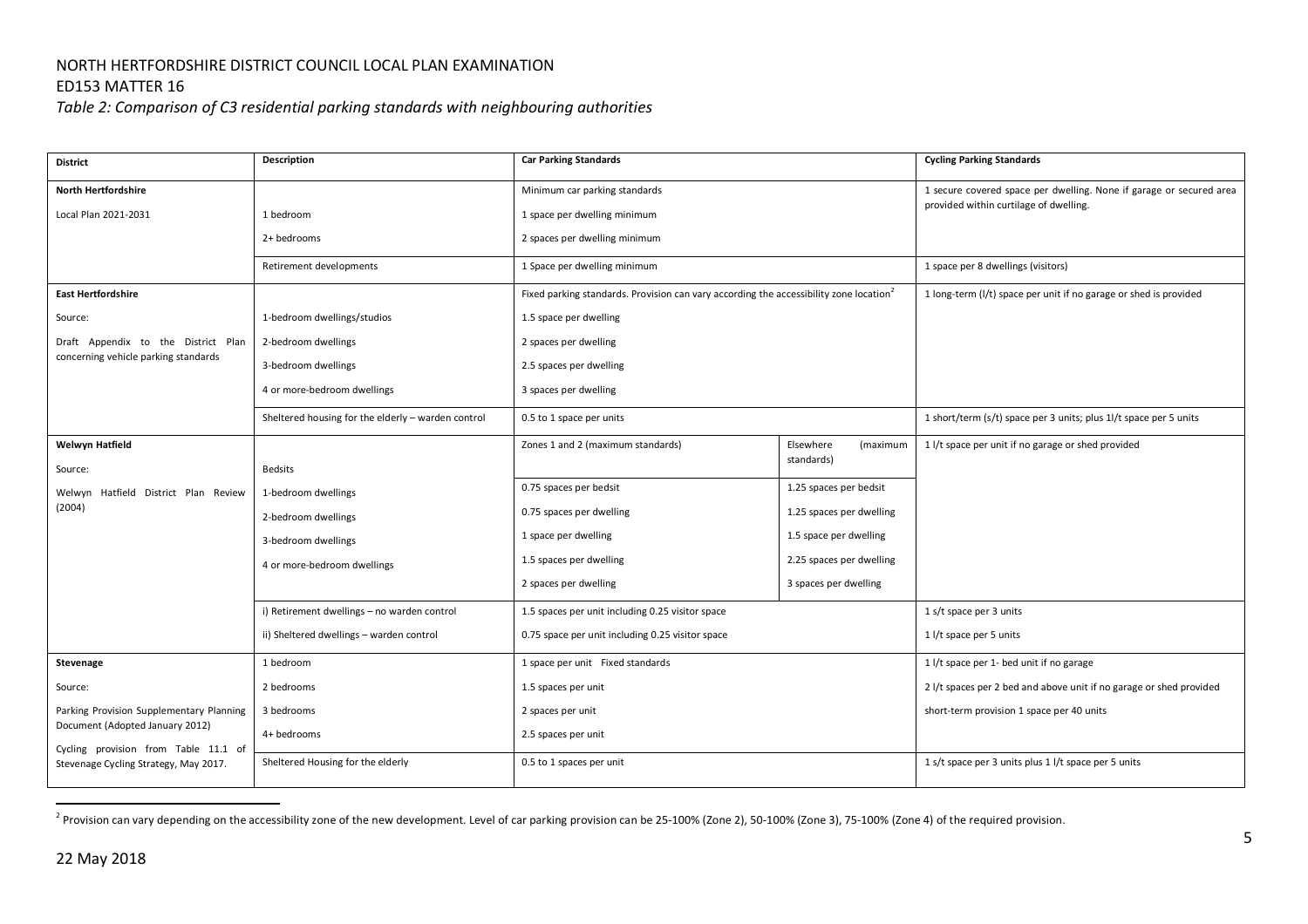# NORTH HERTFORDSHIRE DISTRICT COUNCIL LOCAL PLAN EXAMINATION

## ED153 MATTER 16

*Table 2: Comparison of C3 residential parking standards with neighbouring authorities* 

| <b>District</b>                                                         | Description                                        | <b>Car Parking Standards</b>                                                                       |                                     | <b>Cycling Parking Standards</b>                                    |
|-------------------------------------------------------------------------|----------------------------------------------------|----------------------------------------------------------------------------------------------------|-------------------------------------|---------------------------------------------------------------------|
| <b>North Hertfordshire</b>                                              |                                                    | Minimum car parking standards                                                                      |                                     | 1 secure covered space per dwelling. None if garage or secured area |
| Local Plan 2021-2031                                                    | 1 bedroom                                          | 1 space per dwelling minimum                                                                       |                                     | provided within curtilage of dwelling.                              |
|                                                                         | 2+ bedrooms                                        | 2 spaces per dwelling minimum                                                                      |                                     |                                                                     |
|                                                                         | Retirement developments                            | 1 Space per dwelling minimum                                                                       |                                     | 1 space per 8 dwellings (visitors)                                  |
| <b>East Hertfordshire</b>                                               |                                                    | Fixed parking standards. Provision can vary according the accessibility zone location <sup>2</sup> |                                     | 1 long-term (I/t) space per unit if no garage or shed is provided   |
| Source:                                                                 | 1-bedroom dwellings/studios                        | 1.5 space per dwelling                                                                             |                                     |                                                                     |
| Draft Appendix to the District Plan                                     | 2-bedroom dwellings                                | 2 spaces per dwelling                                                                              |                                     |                                                                     |
| concerning vehicle parking standards                                    | 3-bedroom dwellings                                | 2.5 spaces per dwelling                                                                            |                                     |                                                                     |
|                                                                         | 4 or more-bedroom dwellings                        | 3 spaces per dwelling                                                                              |                                     |                                                                     |
|                                                                         | Sheltered housing for the elderly - warden control | 0.5 to 1 space per units                                                                           |                                     | 1 short/term (s/t) space per 3 units; plus 1l/t space per 5 units   |
| <b>Welwyn Hatfield</b>                                                  |                                                    | Zones 1 and 2 (maximum standards)                                                                  | Elsewhere<br>(maximum<br>standards) | 1 l/t space per unit if no garage or shed provided                  |
| Source:                                                                 | <b>Bedsits</b>                                     | 0.75 spaces per bedsit                                                                             | 1.25 spaces per bedsit              |                                                                     |
| Hatfield District Plan Review<br>Welwyn<br>(2004)                       | 1-bedroom dwellings                                | 0.75 spaces per dwelling                                                                           | 1.25 spaces per dwelling            |                                                                     |
|                                                                         | 2-bedroom dwellings                                | 1 space per dwelling                                                                               | 1.5 space per dwelling              |                                                                     |
|                                                                         | 3-bedroom dwellings                                | 1.5 spaces per dwelling                                                                            | 2.25 spaces per dwelling            |                                                                     |
|                                                                         | 4 or more-bedroom dwellings                        |                                                                                                    |                                     |                                                                     |
|                                                                         |                                                    | 2 spaces per dwelling                                                                              | 3 spaces per dwelling               |                                                                     |
|                                                                         | i) Retirement dwellings - no warden control        | 1.5 spaces per unit including 0.25 visitor space                                                   |                                     | 1 s/t space per 3 units                                             |
|                                                                         | ii) Sheltered dwellings - warden control           | 0.75 space per unit including 0.25 visitor space                                                   |                                     | 1 l/t space per 5 units                                             |
| Stevenage                                                               | 1 bedroom                                          | 1 space per unit Fixed standards                                                                   |                                     | 1 l/t space per 1- bed unit if no garage                            |
| Source:                                                                 | 2 bedrooms                                         | 1.5 spaces per unit                                                                                |                                     | 2 l/t spaces per 2 bed and above unit if no garage or shed provided |
| Parking Provision Supplementary Planning                                | 3 bedrooms                                         | 2 spaces per unit                                                                                  |                                     | short-term provision 1 space per 40 units                           |
| Document (Adopted January 2012)<br>Cycling provision from Table 11.1 of | 4+ bedrooms                                        | 2.5 spaces per unit                                                                                |                                     |                                                                     |
| Stevenage Cycling Strategy, May 2017.                                   | Sheltered Housing for the elderly                  | 0.5 to 1 spaces per unit                                                                           |                                     | 1 s/t space per 3 units plus 1 l/t space per 5 units                |
|                                                                         |                                                    |                                                                                                    |                                     |                                                                     |

<sup>&</sup>lt;sup>2</sup> Provision can vary depending on the accessibility zone of the new development. Level of car parking provision can be 25-100% (Zone 2), 50-100% (Zone 3), 75-100% (Zone 4) of the required provision.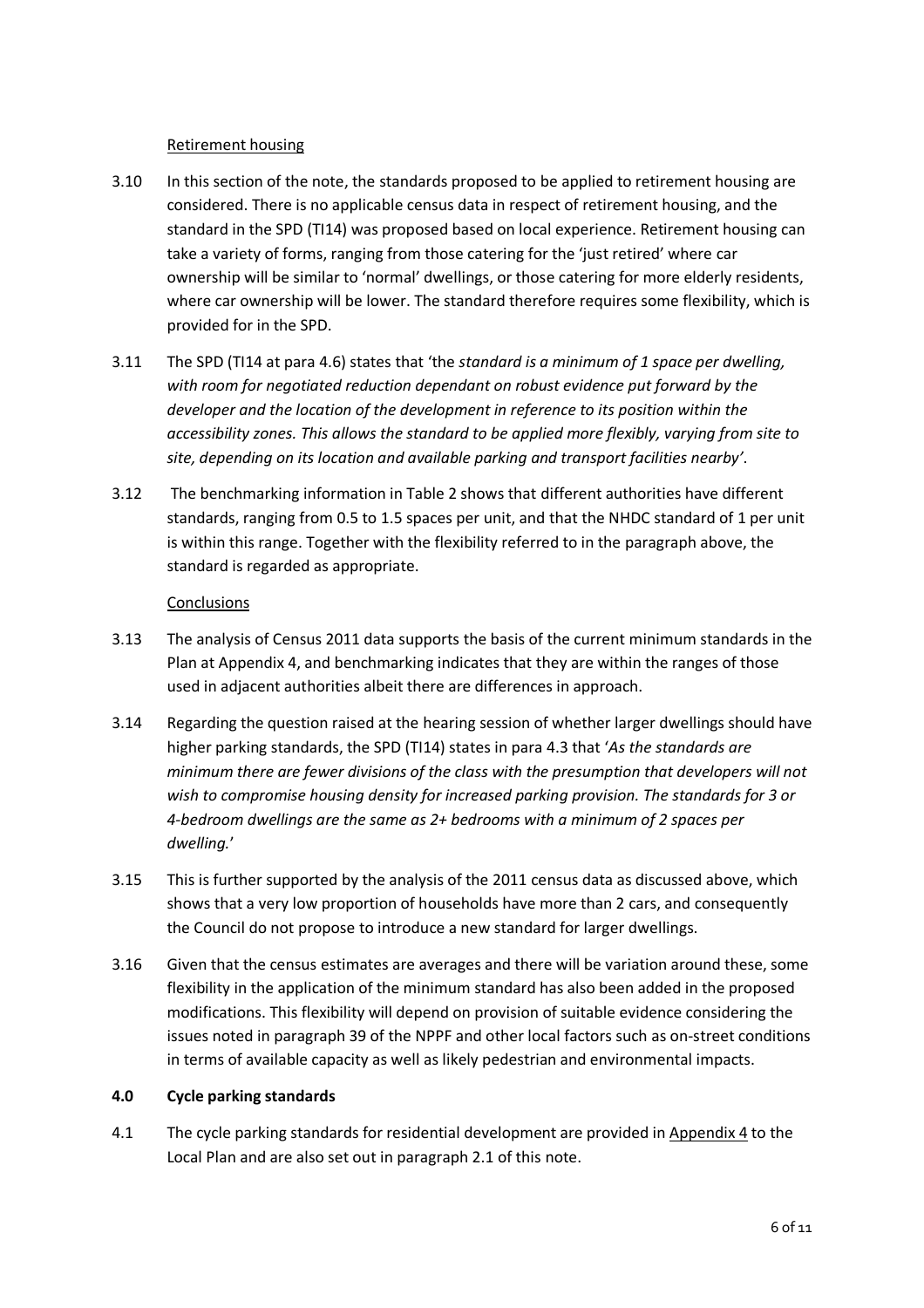### Retirement housing

- 3.10 In this section of the note, the standards proposed to be applied to retirement housing are considered. There is no applicable census data in respect of retirement housing, and the standard in the SPD (TI14) was proposed based on local experience. Retirement housing can take a variety of forms, ranging from those catering for the 'just retired' where car ownership will be similar to 'normal' dwellings, or those catering for more elderly residents, where car ownership will be lower. The standard therefore requires some flexibility, which is provided for in the SPD.
- 3.11 The SPD (TI14 at para 4.6) states that 'the *standard is a minimum of 1 space per dwelling, with room for negotiated reduction dependant on robust evidence put forward by the developer and the location of the development in reference to its position within the accessibility zones. This allows the standard to be applied more flexibly, varying from site to site, depending on its location and available parking and transport facilities nearby'*.
- 3.12 The benchmarking information in Table 2 shows that different authorities have different standards, ranging from 0.5 to 1.5 spaces per unit, and that the NHDC standard of 1 per unit is within this range. Together with the flexibility referred to in the paragraph above, the standard is regarded as appropriate.

#### **Conclusions**

- 3.13 The analysis of Census 2011 data supports the basis of the current minimum standards in the Plan at Appendix 4, and benchmarking indicates that they are within the ranges of those used in adjacent authorities albeit there are differences in approach.
- 3.14 Regarding the question raised at the hearing session of whether larger dwellings should have higher parking standards, the SPD (TI14) states in para 4.3 that '*As the standards are minimum there are fewer divisions of the class with the presumption that developers will not wish to compromise housing density for increased parking provision. The standards for 3 or 4-bedroom dwellings are the same as 2+ bedrooms with a minimum of 2 spaces per dwelling.*'
- 3.15 This is further supported by the analysis of the 2011 census data as discussed above, which shows that a very low proportion of households have more than 2 cars, and consequently the Council do not propose to introduce a new standard for larger dwellings.
- 3.16 Given that the census estimates are averages and there will be variation around these, some flexibility in the application of the minimum standard has also been added in the proposed modifications. This flexibility will depend on provision of suitable evidence considering the issues noted in paragraph 39 of the NPPF and other local factors such as on-street conditions in terms of available capacity as well as likely pedestrian and environmental impacts.

### **4.0 Cycle parking standards**

4.1 The cycle parking standards for residential development are provided in Appendix 4 to the Local Plan and are also set out in paragraph 2.1 of this note.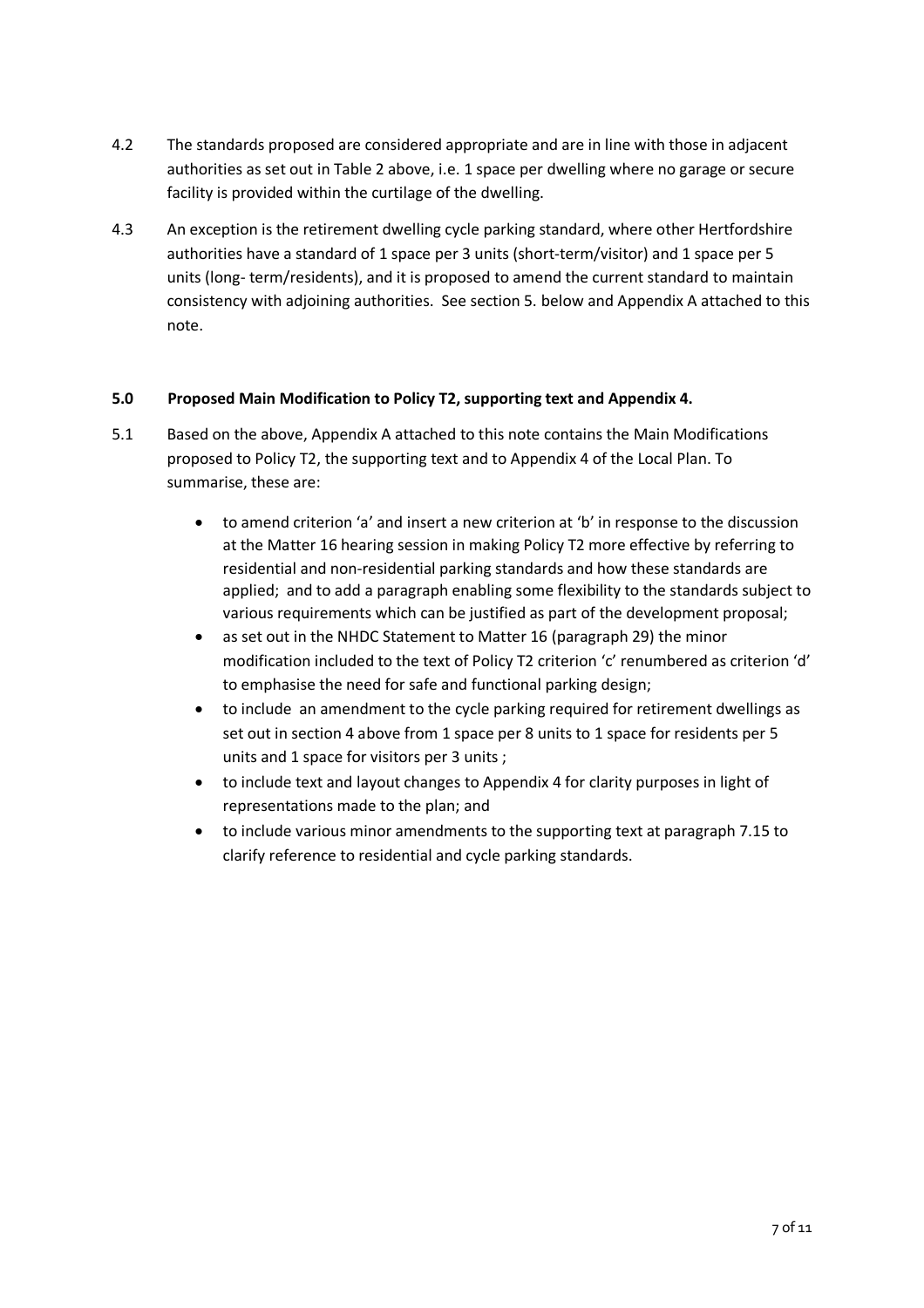- 4.2 The standards proposed are considered appropriate and are in line with those in adjacent authorities as set out in Table 2 above, i.e. 1 space per dwelling where no garage or secure facility is provided within the curtilage of the dwelling.
- 4.3 An exception is the retirement dwelling cycle parking standard, where other Hertfordshire authorities have a standard of 1 space per 3 units (short-term/visitor) and 1 space per 5 units (long- term/residents), and it is proposed to amend the current standard to maintain consistency with adjoining authorities. See section 5. below and Appendix A attached to this note.

### **5.0 Proposed Main Modification to Policy T2, supporting text and Appendix 4.**

- 5.1 Based on the above, Appendix A attached to this note contains the Main Modifications proposed to Policy T2, the supporting text and to Appendix 4 of the Local Plan. To summarise, these are:
	- to amend criterion 'a' and insert a new criterion at 'b' in response to the discussion at the Matter 16 hearing session in making Policy T2 more effective by referring to residential and non-residential parking standards and how these standards are applied; and to add a paragraph enabling some flexibility to the standards subject to various requirements which can be justified as part of the development proposal;
	- as set out in the NHDC Statement to Matter 16 (paragraph 29) the minor modification included to the text of Policy T2 criterion 'c' renumbered as criterion 'd' to emphasise the need for safe and functional parking design;
	- to include an amendment to the cycle parking required for retirement dwellings as set out in section 4 above from 1 space per 8 units to 1 space for residents per 5 units and 1 space for visitors per 3 units ;
	- to include text and layout changes to Appendix 4 for clarity purposes in light of representations made to the plan; and
	- to include various minor amendments to the supporting text at paragraph 7.15 to clarify reference to residential and cycle parking standards.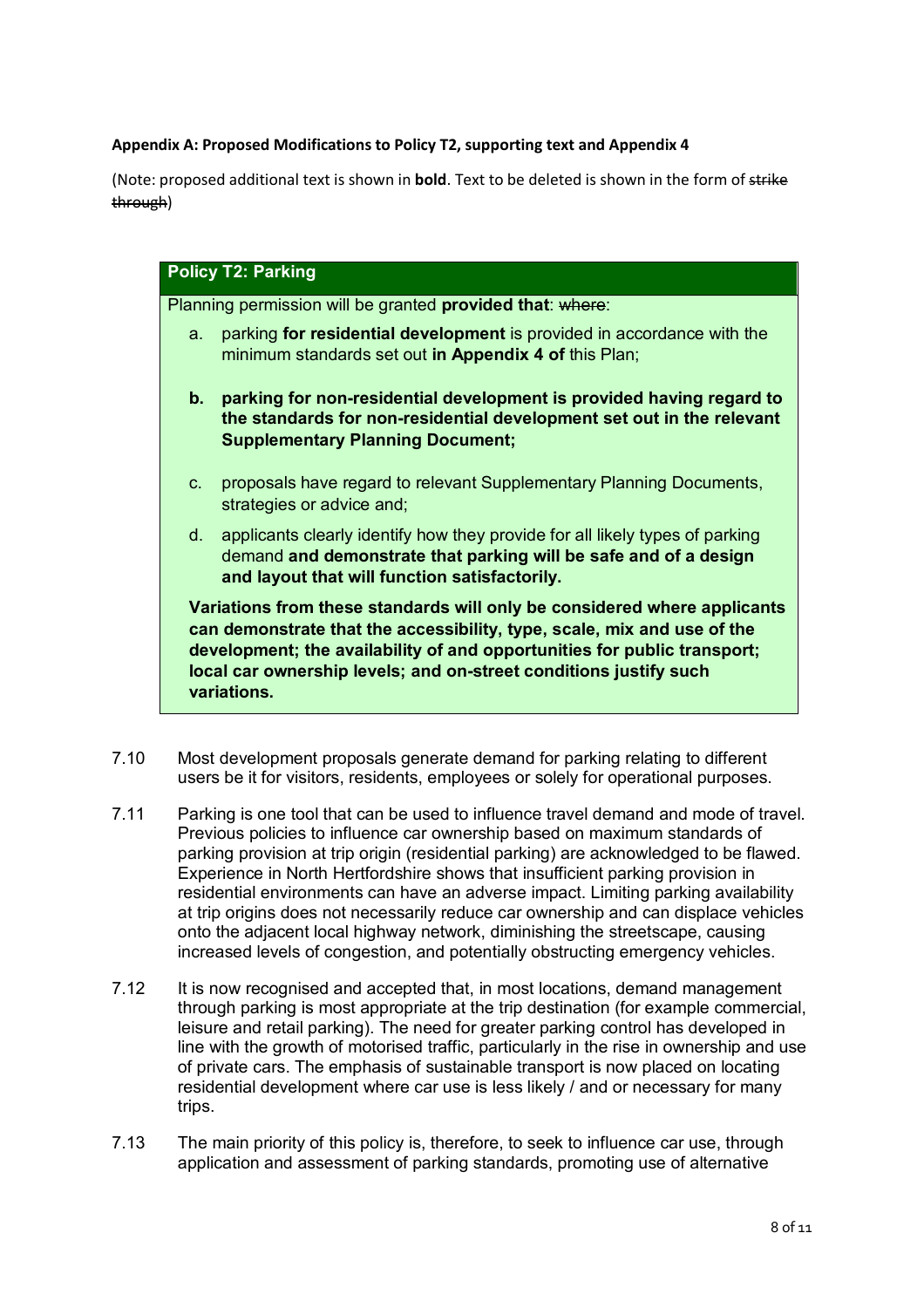### **Appendix A: Proposed Modifications to Policy T2, supporting text and Appendix 4**

(Note: proposed additional text is shown in **bold**. Text to be deleted is shown in the form of strike through)

## **Policy T2: Parking**

Planning permission will be granted **provided that**: where:

- a. parking **for residential development** is provided in accordance with the minimum standards set out **in Appendix 4 of** this Plan;
- **b. parking for non-residential development is provided having regard to the standards for non-residential development set out in the relevant Supplementary Planning Document;**
- c. proposals have regard to relevant Supplementary Planning Documents, strategies or advice and;
- d. applicants clearly identify how they provide for all likely types of parking demand **and demonstrate that parking will be safe and of a design and layout that will function satisfactorily.**

**Variations from these standards will only be considered where applicants can demonstrate that the accessibility, type, scale, mix and use of the development; the availability of and opportunities for public transport; local car ownership levels; and on-street conditions justify such variations.**

- 7.10 Most development proposals generate demand for parking relating to different users be it for visitors, residents, employees or solely for operational purposes.
- 7.11 Parking is one tool that can be used to influence travel demand and mode of travel. Previous policies to influence car ownership based on maximum standards of parking provision at trip origin (residential parking) are acknowledged to be flawed. Experience in North Hertfordshire shows that insufficient parking provision in residential environments can have an adverse impact. Limiting parking availability at trip origins does not necessarily reduce car ownership and can displace vehicles onto the adjacent local highway network, diminishing the streetscape, causing increased levels of congestion, and potentially obstructing emergency vehicles.
- 7.12 It is now recognised and accepted that, in most locations, demand management through parking is most appropriate at the trip destination (for example commercial, leisure and retail parking). The need for greater parking control has developed in line with the growth of motorised traffic, particularly in the rise in ownership and use of private cars. The emphasis of sustainable transport is now placed on locating residential development where car use is less likely / and or necessary for many trips.
- 7.13 The main priority of this policy is, therefore, to seek to influence car use, through application and assessment of parking standards, promoting use of alternative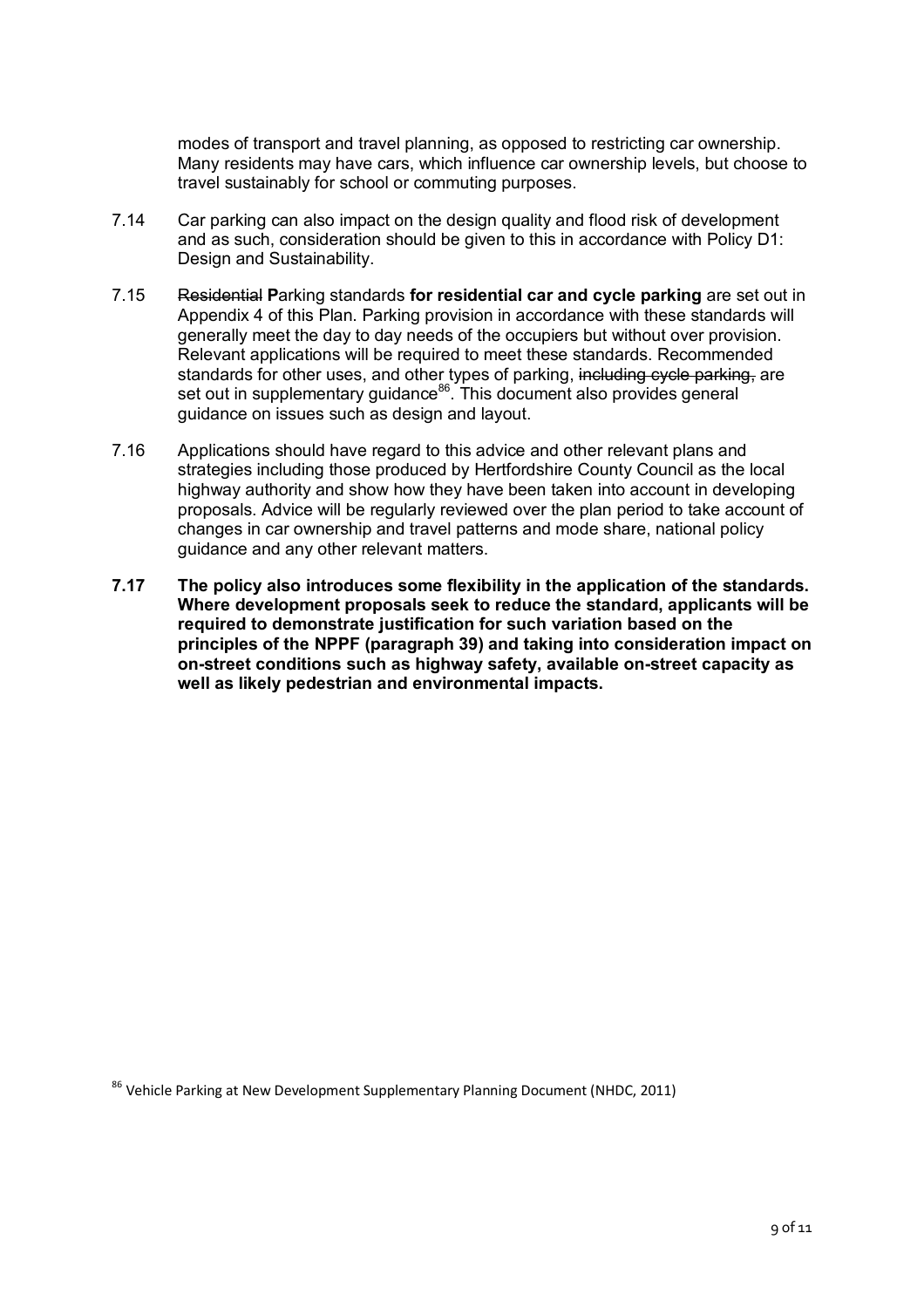modes of transport and travel planning, as opposed to restricting car ownership. Many residents may have cars, which influence car ownership levels, but choose to travel sustainably for school or commuting purposes.

- 7.14 Car parking can also impact on the design quality and flood risk of development and as such, consideration should be given to this in accordance with Policy D1: Design and Sustainability.
- 7.15 Residential **P**arking standards **for residential car and cycle parking** are set out in Appendix 4 of this Plan. Parking provision in accordance with these standards will generally meet the day to day needs of the occupiers but without over provision. Relevant applications will be required to meet these standards. Recommended standards for other uses, and other types of parking, including cycle parking, are standards for other does, and other types or panting, installing syste panting<br>set out in supplementary guidance<sup>86</sup>. This document also provides general guidance on issues such as design and layout.
- 7.16 Applications should have regard to this advice and other relevant plans and strategies including those produced by Hertfordshire County Council as the local highway authority and show how they have been taken into account in developing proposals. Advice will be regularly reviewed over the plan period to take account of changes in car ownership and travel patterns and mode share, national policy guidance and any other relevant matters.
- **7.17 The policy also introduces some flexibility in the application of the standards. Where development proposals seek to reduce the standard, applicants will be required to demonstrate justification for such variation based on the principles of the NPPF (paragraph 39) and taking into consideration impact on on-street conditions such as highway safety, available on-street capacity as well as likely pedestrian and environmental impacts.**

<sup>86</sup> Vehicle Parking at New Development Supplementary Planning Document (NHDC, 2011)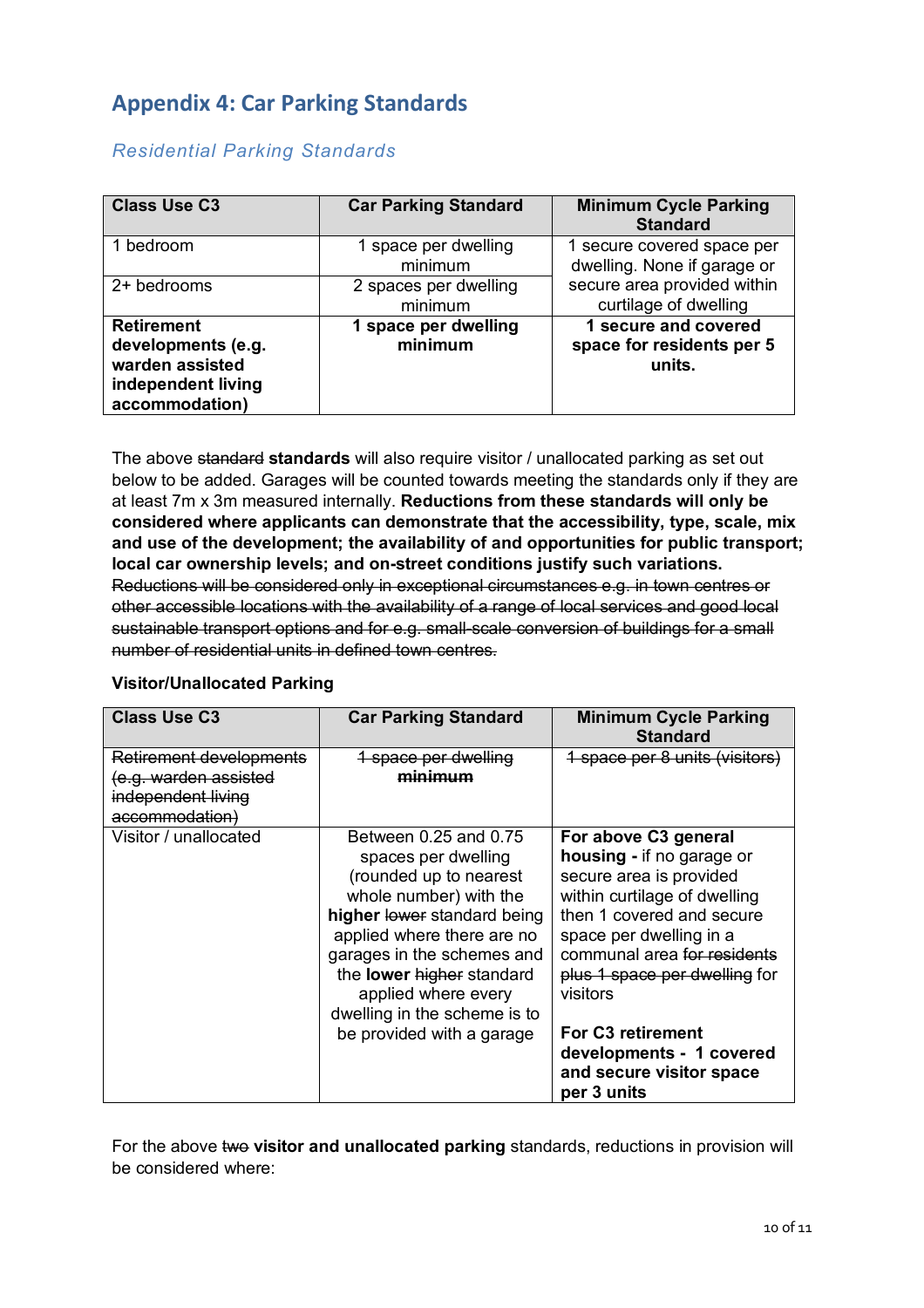# **Appendix 4: Car Parking Standards**

| <b>Class Use C3</b>                                                                                | <b>Car Parking Standard</b>      | <b>Minimum Cycle Parking</b><br><b>Standard</b>             |
|----------------------------------------------------------------------------------------------------|----------------------------------|-------------------------------------------------------------|
| bedroom                                                                                            | 1 space per dwelling<br>minimum  | 1 secure covered space per<br>dwelling. None if garage or   |
| 2+ bedrooms                                                                                        | 2 spaces per dwelling<br>minimum | secure area provided within<br>curtilage of dwelling        |
| <b>Retirement</b><br>developments (e.g.<br>warden assisted<br>independent living<br>accommodation) | 1 space per dwelling<br>minimum  | 1 secure and covered<br>space for residents per 5<br>units. |

# *Residential Parking Standards*

The above standard **standards** will also require visitor / unallocated parking as set out below to be added. Garages will be counted towards meeting the standards only if they are at least 7m x 3m measured internally. **Reductions from these standards will only be considered where applicants can demonstrate that the accessibility, type, scale, mix and use of the development; the availability of and opportunities for public transport; local car ownership levels; and on-street conditions justify such variations.** Reductions will be considered only in exceptional circumstances e.g. in town centres or other accessible locations with the availability of a range of local services and good local sustainable transport options and for e.g. small-scale conversion of buildings for a small number of residential units in defined town centres.

| <b>Class Use C3</b>     | <b>Car Parking Standard</b>  | <b>Minimum Cycle Parking</b><br><b>Standard</b>                     |
|-------------------------|------------------------------|---------------------------------------------------------------------|
| Retirement developments | 1 space per dwelling         | 1 space per 8 units (visitors)                                      |
| g. warden assisted      | minimum                      |                                                                     |
| independent living      |                              |                                                                     |
| accommodation)          |                              |                                                                     |
| Visitor / unallocated   | Between 0.25 and 0.75        | For above C3 general                                                |
|                         | spaces per dwelling          | housing - if no garage or                                           |
|                         | (rounded up to nearest       | secure area is provided                                             |
|                         | whole number) with the       | within curtilage of dwelling                                        |
|                         | higher lower standard being  | then 1 covered and secure                                           |
|                         | applied where there are no   | space per dwelling in a                                             |
|                         | garages in the schemes and   | communal area for residents                                         |
|                         | the lower higher standard    | plus 1 space per dwelling for                                       |
|                         | applied where every          | visitors                                                            |
|                         | dwelling in the scheme is to |                                                                     |
|                         | be provided with a garage    | For C <sub>3</sub> retirement                                       |
|                         |                              | developments - 1 covered<br>and secure visitor space<br>per 3 units |

### **Visitor/Unallocated Parking**

For the above two visitor and unallocated parking standards, reductions in provision will be considered where: